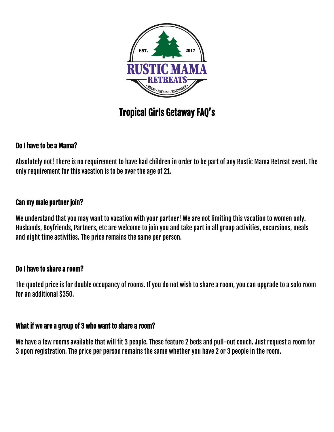

# Tropical Girls Getaway FAQ's

### Do I have to be a Mama?

Absolutely not! There is no requirement to have had children in order to be part of any Rustic Mama Retreat event. The only requirement for this vacation is to be over the age of 21.

#### Can my male partner join?

We understand that you may want to vacation with your partner! We are not limiting this vacation to women only. Husbands, Boyfriends, Partners, etc are welcome to join you and take part in all group activities, excursions, meals and night time activities. The price remains the same per person.

#### Do I have to share a room?

The quoted price is for double occupancy of rooms. If you do not wish to share a room, you can upgrade to a solo room for an additional \$350.

#### What if we are a group of 3 who want to share a room?

We have a few rooms available that will fit 3 people. These feature 2 beds and pull-out couch. Just request a room for 3 upon registration. The price per person remains the same whether you have 2 or 3 people in the room.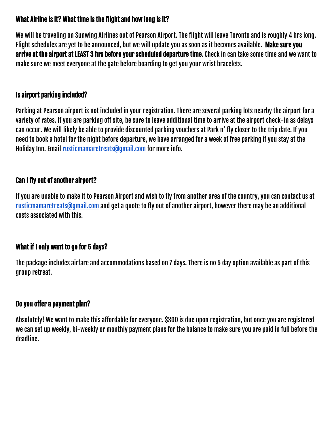# What Airline is it? What time is the flight and how long is it?

We will be traveling on Sunwing Airlines out of Pearson Airport. The flight will leave Toronto and is roughly 4 hrs long. Flight schedules are yet to be announced, but we will update you as soon as it becomes available. Make sure you arrive at the airport at LEAST 3 hrs before your scheduled departure time. Check in can take some time and we want to make sure we meet everyone at the gate before boarding to get you your wrist bracelets.

## Is airport parking included?

Parking at Pearson airport is not included in your registration. There are several parking lots nearby the airport for a variety of rates. If you are parking off site, be sure to leave additional time to arrive at the airport check-in as delays can occur. We will likely be able to provide discounted parking vouchers at Park n' fly closer to the trip date. If you need to book a hotel for the night before departure, we have arranged for a week of free parking if you stay at the Holiday Inn. Email [rusticmamaretreats@gmail.com](mailto:rusticmamaretreats@gmail.com) for more info.

# Can I fly out of another airport?

If you are unable to make it to Pearson Airport and wish to fly from another area of the country, you can contact us at [rusticmamaretreats@gmail.com](mailto:rusticmamaretreats@gmail.com) and get a quote to fly out of another airport, however there may be an additional costs associated with this.

### What if I only want to go for 5 days?

The package includes airfare and accommodations based on 7 days. There is no 5 day option available as part of this group retreat.

### Do you offer a payment plan?

Absolutely! We want to make this affordable for everyone. \$300 is due upon registration, but once you are registered we can set up weekly, bi-weekly or monthly payment plans for the balance to make sure you are paid in full before the deadline.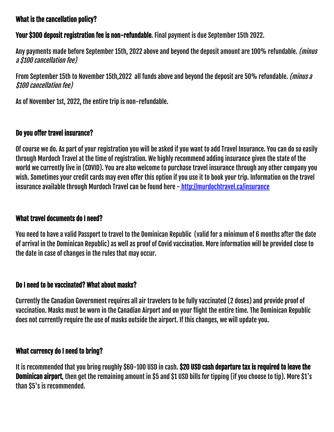## What is the cancellation policy?

Your \$300 deposit registration fee is non-refundable. Final payment is due September 15th 2022.

Any payments made before September 15th, 2022 above and beyond the deposit amount are 100% refundable. (minus a \$100 cancellation fee)

From September 15th to November 15th,2022 all funds above and beyond the deposit are 50% refundable. (minus a \$100 cancellation fee)

As of November 1st, 2022, the entire trip is non-refundable.

## Do you offer travel insurance?

Of course we do. As part of your registration you will be asked if you want to add Travel Insurance. You can do so easily through Murdoch Travel at the time of registration. We highly recommend adding insurance given the state of the world we currently live in (COVID). You are also welcome to purchase travel insurance through any other company you wish. Sometimes your credit cards may even offer this option if you use it to book your trip. Information on the travel insurance available through Murdoch Travel can be found here - http://murdochtravel.ca/insurance

### What travel documents do I need?

You need to have a valid Passport to travel to the Dominican Republic (valid for a minimum of 6 months after the date of arrival in the Dominican Republic) as well as proof of Covid vaccination. More information will be provided close to the date in case of changes in the rules that may occur.

### Do I need to be vaccinated? What about masks?

Currently the Canadian Government requires all air travelers to be fully vaccinated (2 doses) and provide proof of vaccination. Masks must be worn in the Canadian Airport and on your flight the entire time. The Dominican Republic does not currently require the use of masks outside the airport. If this changes, we will update you.

### What currency do I need to bring?

It is recommended that you bring roughly \$60-100 USD in cash. \$20 USD cash departure tax is required to leave the Dominican airport, then get the remaining amount in \$5 and \$1 USD bills for tipping (if you choose to tip). More \$1's than \$5's is recommended.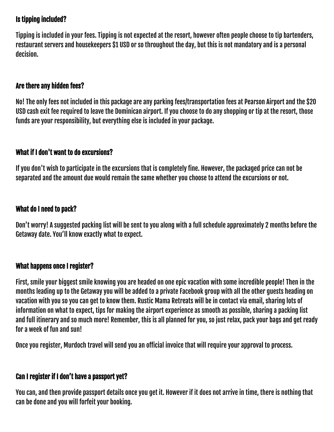# Is tipping included?

Tipping is included in your fees. Tipping is not expected at the resort, however often people choose to tip bartenders, restaurant servers and housekeepers \$1 USD or so throughout the day, but this is not mandatory and is a personal decision.

#### Are there any hidden fees?

No! The only fees not included in this package are any parking fees/transportation fees at Pearson Airport and the \$20 USD cash exit fee required to leave the Dominican airport. If you choose to do any shopping or tip at the resort, those funds are your responsibility, but everything else is included in your package.

#### What if I don't want to do excursions?

If you don't wish to participate in the excursions that is completely fine. However, the packaged price can not be separated and the amount due would remain the same whether you choose to attend the excursions or not.

#### What do I need to pack?

Don't worry! A suggested packing list will be sent to you along with a full schedule approximately 2 months before the Getaway date. You'll know exactly what to expect.

#### What happens once I register?

First, smile your biggest smile knowing you are headed on one epic vacation with some incredible people! Then in the months leading up to the Getaway you will be added to a private Facebook group with all the other guests heading on vacation with you so you can get to know them. Rustic Mama Retreats will be in contact via email, sharing lots of information on what to expect, tips for making the airport experience as smooth as possible, sharing a packing list and full itinerary and so much more! Remember, this is all planned for you, so just relax, pack your bags and get ready for a week of fun and sun!

Once you register, Murdoch travel will send you an official invoice that will require your approval to process.

### Can I register if I don't have a passport yet?

You can, and then provide passport details once you get it. However if it does not arrive in time, there is nothing that can be done and you will forfeit your booking.